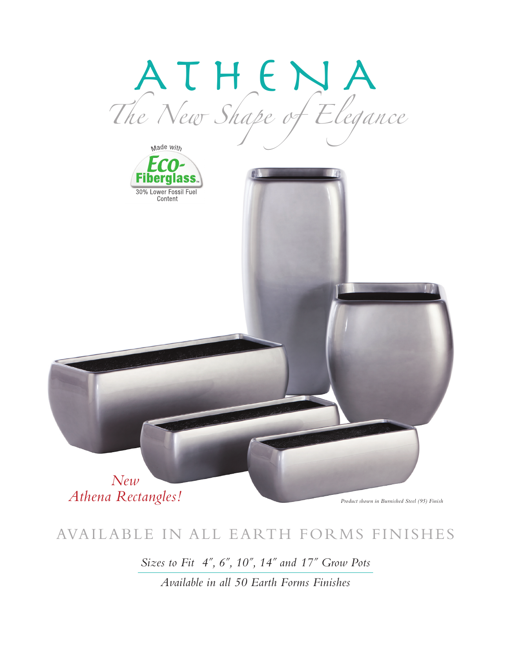

### AVAILABLE IN ALL EARTH FORMS FINISHES

Sizes to Fit 4", 6", 10", 14" and 17" Grow Pots

Available in all 50 Earth Forms Finishes